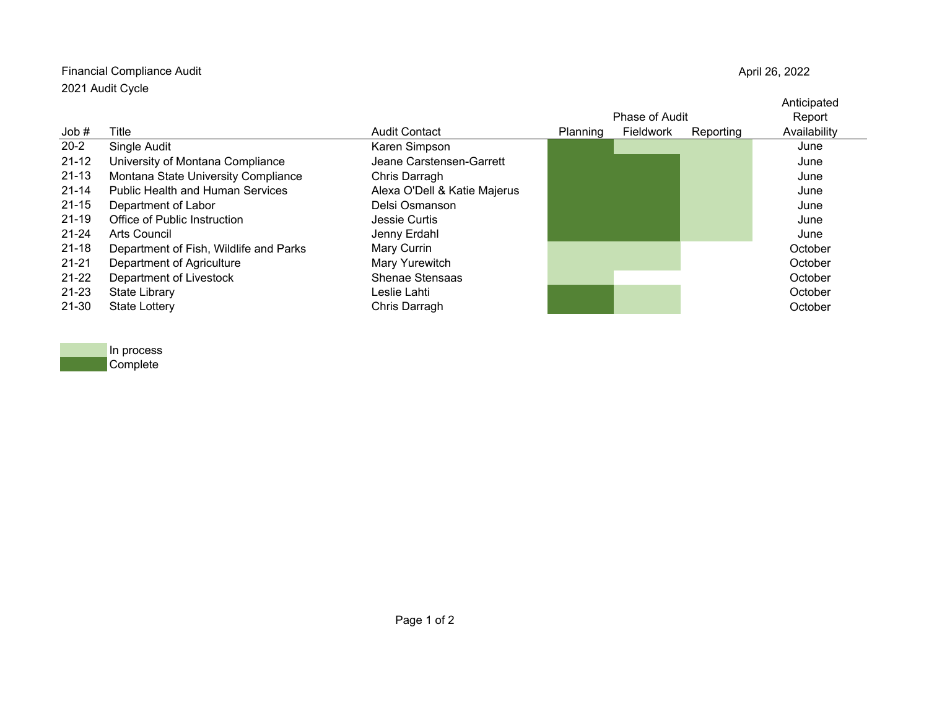## Financial Compliance Audit 2021 Audit Cycle

April 26, 2022

|           |                                         |                              | <b>Phase of Audit</b> |           |           | Anticipated<br>Report |
|-----------|-----------------------------------------|------------------------------|-----------------------|-----------|-----------|-----------------------|
| Job#      | Title                                   | <b>Audit Contact</b>         | Planning              | Fieldwork | Reporting | Availability          |
| $20 - 2$  | Single Audit                            | Karen Simpson                |                       |           |           | June                  |
| $21 - 12$ | University of Montana Compliance        | Jeane Carstensen-Garrett     |                       |           |           | June                  |
| $21 - 13$ | Montana State University Compliance     | Chris Darragh                |                       |           |           | June                  |
| $21 - 14$ | <b>Public Health and Human Services</b> | Alexa O'Dell & Katie Majerus |                       |           |           | June                  |
| $21 - 15$ | Department of Labor                     | Delsi Osmanson               |                       |           |           | June                  |
| $21 - 19$ | Office of Public Instruction            | Jessie Curtis                |                       |           |           | June                  |
| 21-24     | Arts Council                            | Jenny Erdahl                 |                       |           |           | June                  |
| $21 - 18$ | Department of Fish, Wildlife and Parks  | Mary Currin                  |                       |           |           | October               |
| $21 - 21$ | Department of Agriculture               | Mary Yurewitch               |                       |           |           | October               |
| $21 - 22$ | Department of Livestock                 | Shenae Stensaas              |                       |           |           | October               |
| 21-23     | State Library                           | Leslie Lahti                 |                       |           |           | October               |
| 21-30     | <b>State Lottery</b>                    | Chris Darragh                |                       |           |           | October               |